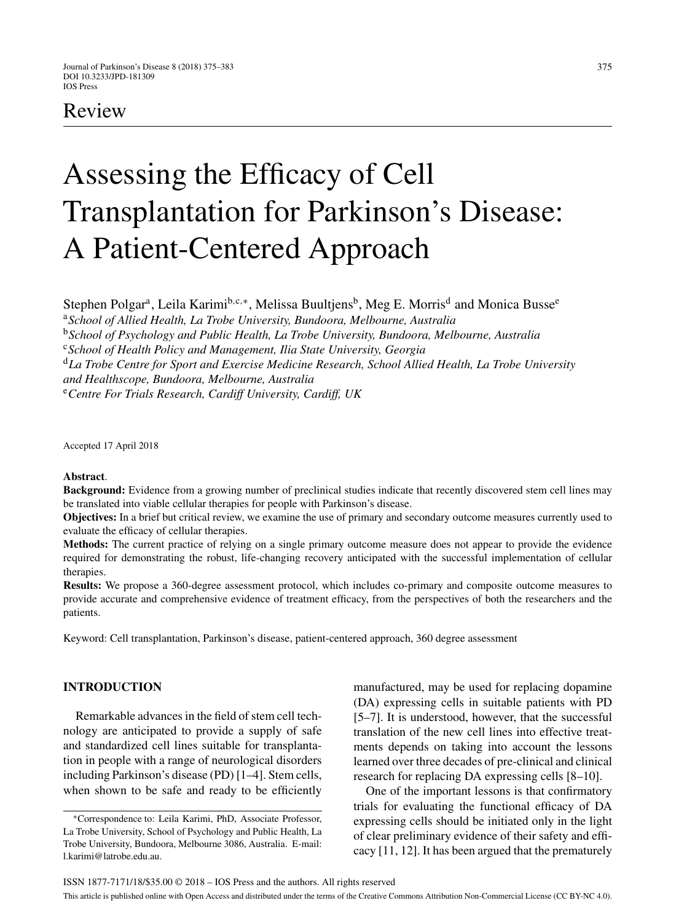# Review

# Assessing the Efficacy of Cell Transplantation for Parkinson's Disease: A Patient-Centered Approach

Stephen Polgar<sup>a</sup>, Leila Karimi<sup>b,c,∗</sup>, Melissa Buultjens<sup>b</sup>, Meg E. Morris<sup>d</sup> and Monica Busse<sup>e</sup> <sup>a</sup>*School of Allied Health, La Trobe University, Bundoora, Melbourne, Australia* <sup>b</sup>*School of Psychology and Public Health, La Trobe University, Bundoora, Melbourne, Australia* <sup>c</sup>*School of Health Policy and Management, Ilia State University, Georgia* <sup>d</sup>*La Trobe Centre for Sport and Exercise Medicine Research, School Allied Health, La Trobe University and Healthscope, Bundoora, Melbourne, Australia* <sup>e</sup>*Centre For Trials Research, Cardiff University, Cardiff, UK*

Accepted 17 April 2018

#### **Abstract**.

**Background:** Evidence from a growing number of preclinical studies indicate that recently discovered stem cell lines may be translated into viable cellular therapies for people with Parkinson's disease.

**Objectives:** In a brief but critical review, we examine the use of primary and secondary outcome measures currently used to evaluate the efficacy of cellular therapies.

**Methods:** The current practice of relying on a single primary outcome measure does not appear to provide the evidence required for demonstrating the robust, life-changing recovery anticipated with the successful implementation of cellular therapies.

**Results:** We propose a 360-degree assessment protocol, which includes co-primary and composite outcome measures to provide accurate and comprehensive evidence of treatment efficacy, from the perspectives of both the researchers and the patients.

Keyword: Cell transplantation, Parkinson's disease, patient-centered approach, 360 degree assessment

# **INTRODUCTION**

Remarkable advances in the field of stem cell technology are anticipated to provide a supply of safe and standardized cell lines suitable for transplantation in people with a range of neurological disorders including Parkinson's disease (PD) [1–4]. Stem cells, when shown to be safe and ready to be efficiently manufactured, may be used for replacing dopamine (DA) expressing cells in suitable patients with PD [5–7]. It is understood, however, that the successful translation of the new cell lines into effective treatments depends on taking into account the lessons learned over three decades of pre-clinical and clinical research for replacing DA expressing cells [8–10].

One of the important lessons is that confirmatory trials for evaluating the functional efficacy of DA expressing cells should be initiated only in the light of clear preliminary evidence of their safety and efficacy [11, 12]. It has been argued that the prematurely

<sup>∗</sup>Correspondence to: Leila Karimi, PhD, Associate Professor, La Trobe University, School of Psychology and Public Health, La Trobe University, Bundoora, Melbourne 3086, Australia. E-mail: [l.karimi@latrobe.edu.au](mailto:l.karimi@latrobe.edu.au).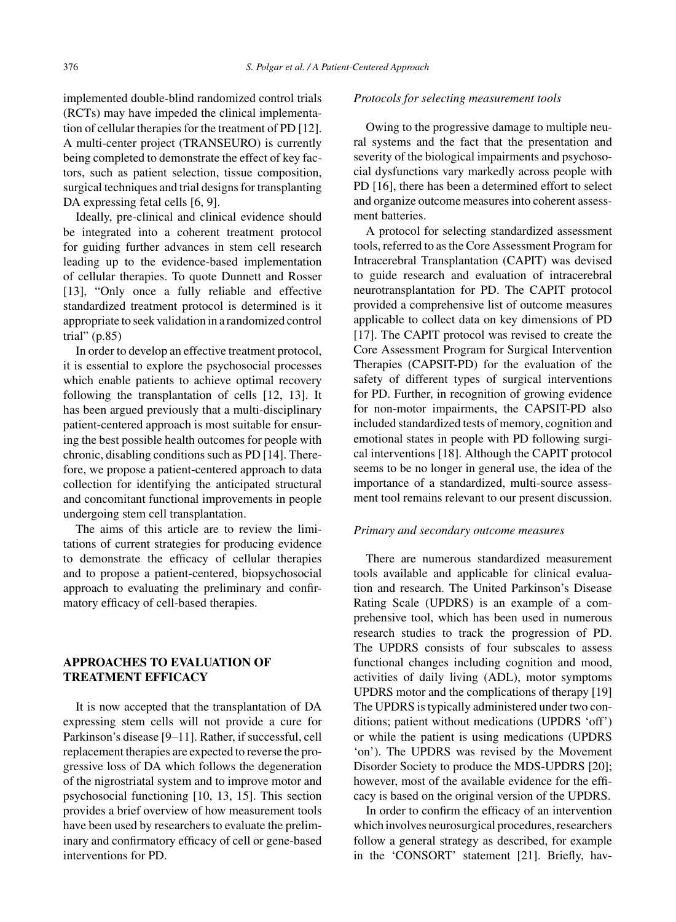implemented double-blind randomized control trials (RCTs) may have impeded the clinical implementation of cellular therapies for the treatment of PD [12]. A multi-center project (TRANSEURO) is currently being completed to demonstrate the effect of key factors, such as patient selection, tissue composition, surgical techniques and trial designs for transplanting DA expressing fetal cells [6, 9].

Ideally, pre-clinical and clinical evidence should be integrated into a coherent treatment protocol for guiding further advances in stem cell research leading up to the evidence-based implementation of cellular therapies. To quote Dunnett and Rosser [13], "Only once a fully reliable and effective standardized treatment protocol is determined is it appropriate to seek validation in a randomized control trial" (p.85)

In order to develop an effective treatment protocol, it is essential to explore the psychosocial processes which enable patients to achieve optimal recovery following the transplantation of cells [12, 13]. It has been argued previously that a multi-disciplinary patient-centered approach is most suitable for ensuring the best possible health outcomes for people with chronic, disabling conditions such as PD [14]. Therefore, we propose a patient-centered approach to data collection for identifying the anticipated structural and concomitant functional improvements in people undergoing stem cell transplantation.

The aims of this article are to review the limitations of current strategies for producing evidence to demonstrate the efficacy of cellular therapies and to propose a patient-centered, biopsychosocial approach to evaluating the preliminary and confirmatory efficacy of cell-based therapies.

# **APPROACHES TO EVALUATION OF TREATMENT EFFICACY**

It is now accepted that the transplantation of DA expressing stem cells will not provide a cure for Parkinson's disease [9–11]. Rather, if successful, cell replacement therapies are expected to reverse the progressive loss of DA which follows the degeneration of the nigrostriatal system and to improve motor and psychosocial functioning [10, 13, 15]. This section provides a brief overview of how measurement tools have been used by researchers to evaluate the preliminary and confirmatory efficacy of cell or gene-based interventions for PD.

### *Protocols for selecting measurement tools*

Owing to the progressive damage to multiple neural systems and the fact that the presentation and severity of the biological impairments and psychosocial dysfunctions vary markedly across people with PD [16], there has been a determined effort to select and organize outcome measures into coherent assessment batteries.

A protocol for selecting standardized assessment tools, referred to as the Core Assessment Program for Intracerebral Transplantation (CAPIT) was devised to guide research and evaluation of intracerebral neurotransplantation for PD. The CAPIT protocol provided a comprehensive list of outcome measures applicable to collect data on key dimensions of PD [17]. The CAPIT protocol was revised to create the Core Assessment Program for Surgical Intervention Therapies (CAPSIT-PD) for the evaluation of the safety of different types of surgical interventions for PD. Further, in recognition of growing evidence for non-motor impairments, the CAPSIT-PD also included standardized tests of memory, cognition and emotional states in people with PD following surgical interventions [18]. Although the CAPIT protocol seems to be no longer in general use, the idea of the importance of a standardized, multi-source assessment tool remains relevant to our present discussion.

#### *Primary and secondary outcome measures*

There are numerous standardized measurement tools available and applicable for clinical evaluation and research. The United Parkinson's Disease Rating Scale (UPDRS) is an example of a comprehensive tool, which has been used in numerous research studies to track the progression of PD. The UPDRS consists of four subscales to assess functional changes including cognition and mood, activities of daily living (ADL), motor symptoms UPDRS motor and the complications of therapy [19] The UPDRS is typically administered under two conditions; patient without medications (UPDRS 'off') or while the patient is using medications (UPDRS 'on'). The UPDRS was revised by the Movement Disorder Society to produce the MDS-UPDRS [20]; however, most of the available evidence for the efficacy is based on the original version of the UPDRS.

In order to confirm the efficacy of an intervention which involves neurosurgical procedures, researchers follow a general strategy as described, for example in the 'CONSORT' statement [21]. Briefly, hav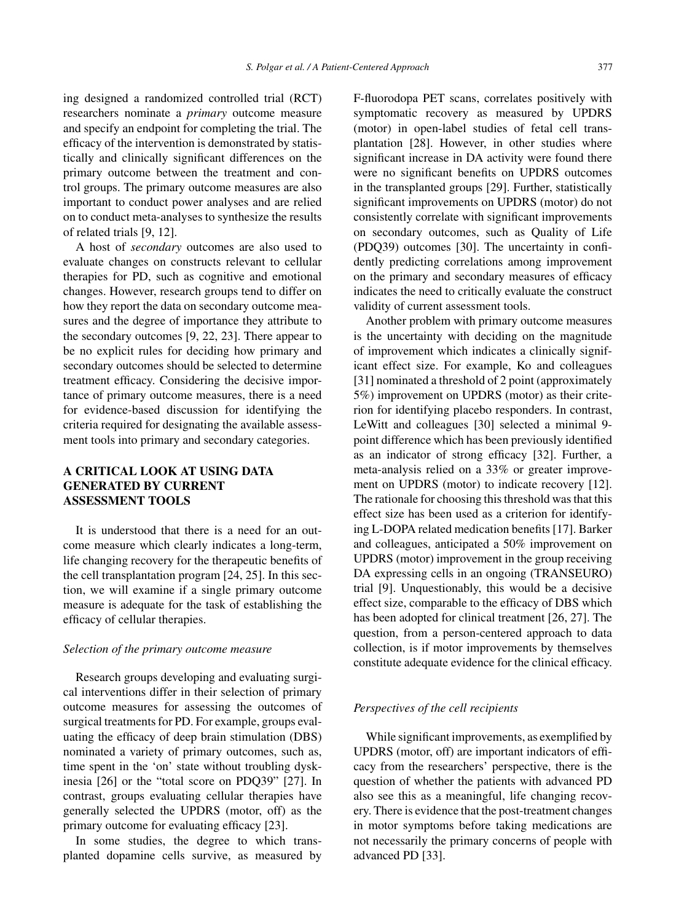ing designed a randomized controlled trial (RCT) researchers nominate a *primary* outcome measure and specify an endpoint for completing the trial. The efficacy of the intervention is demonstrated by statistically and clinically significant differences on the primary outcome between the treatment and control groups. The primary outcome measures are also important to conduct power analyses and are relied on to conduct meta-analyses to synthesize the results of related trials [9, 12].

A host of *secondary* outcomes are also used to evaluate changes on constructs relevant to cellular therapies for PD, such as cognitive and emotional changes. However, research groups tend to differ on how they report the data on secondary outcome measures and the degree of importance they attribute to the secondary outcomes [9, 22, 23]. There appear to be no explicit rules for deciding how primary and secondary outcomes should be selected to determine treatment efficacy. Considering the decisive importance of primary outcome measures, there is a need for evidence-based discussion for identifying the criteria required for designating the available assessment tools into primary and secondary categories.

# **A CRITICAL LOOK AT USING DATA GENERATED BY CURRENT ASSESSMENT TOOLS**

It is understood that there is a need for an outcome measure which clearly indicates a long-term, life changing recovery for the therapeutic benefits of the cell transplantation program [24, 25]. In this section, we will examine if a single primary outcome measure is adequate for the task of establishing the efficacy of cellular therapies.

#### *Selection of the primary outcome measure*

Research groups developing and evaluating surgical interventions differ in their selection of primary outcome measures for assessing the outcomes of surgical treatments for PD. For example, groups evaluating the efficacy of deep brain stimulation (DBS) nominated a variety of primary outcomes, such as, time spent in the 'on' state without troubling dyskinesia [26] or the "total score on PDQ39" [27]. In contrast, groups evaluating cellular therapies have generally selected the UPDRS (motor, off) as the primary outcome for evaluating efficacy [23].

In some studies, the degree to which transplanted dopamine cells survive, as measured by F-fluorodopa PET scans, correlates positively with symptomatic recovery as measured by UPDRS (motor) in open-label studies of fetal cell transplantation [28]. However, in other studies where significant increase in DA activity were found there were no significant benefits on UPDRS outcomes in the transplanted groups [29]. Further, statistically significant improvements on UPDRS (motor) do not consistently correlate with significant improvements on secondary outcomes, such as Quality of Life (PDQ39) outcomes [30]. The uncertainty in confidently predicting correlations among improvement on the primary and secondary measures of efficacy indicates the need to critically evaluate the construct validity of current assessment tools.

Another problem with primary outcome measures is the uncertainty with deciding on the magnitude of improvement which indicates a clinically significant effect size. For example, Ko and colleagues [31] nominated a threshold of 2 point (approximately 5%) improvement on UPDRS (motor) as their criterion for identifying placebo responders. In contrast, LeWitt and colleagues [30] selected a minimal 9 point difference which has been previously identified as an indicator of strong efficacy [32]. Further, a meta-analysis relied on a 33% or greater improvement on UPDRS (motor) to indicate recovery [12]. The rationale for choosing this threshold was that this effect size has been used as a criterion for identifying L-DOPA related medication benefits [17]. Barker and colleagues, anticipated a 50% improvement on UPDRS (motor) improvement in the group receiving DA expressing cells in an ongoing (TRANSEURO) trial [9]. Unquestionably, this would be a decisive effect size, comparable to the efficacy of DBS which has been adopted for clinical treatment [26, 27]. The question, from a person-centered approach to data collection, is if motor improvements by themselves constitute adequate evidence for the clinical efficacy.

#### *Perspectives of the cell recipients*

While significant improvements, as exemplified by UPDRS (motor, off) are important indicators of efficacy from the researchers' perspective, there is the question of whether the patients with advanced PD also see this as a meaningful, life changing recovery. There is evidence that the post-treatment changes in motor symptoms before taking medications are not necessarily the primary concerns of people with advanced PD [33].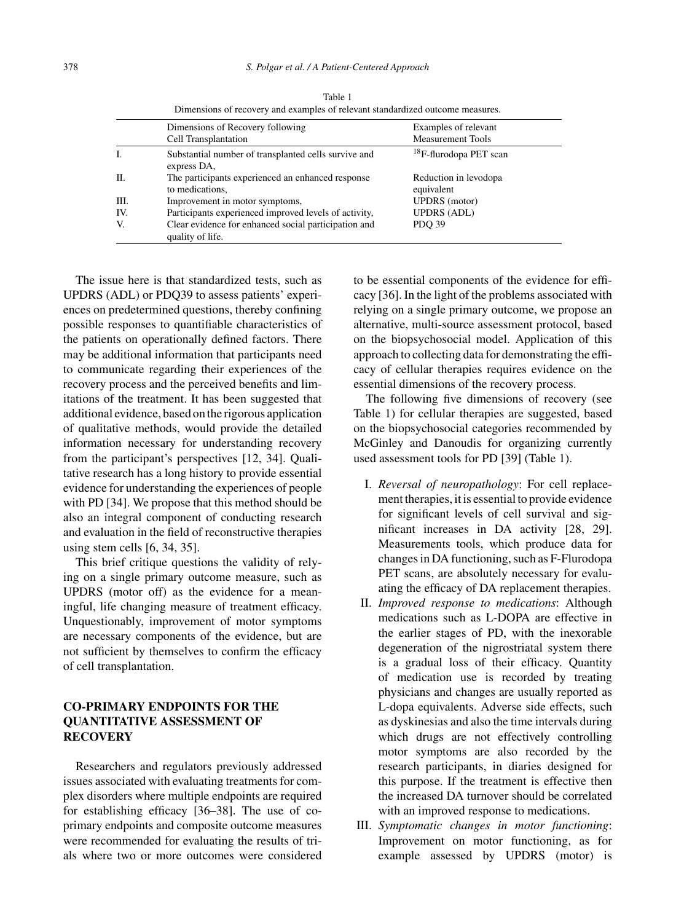|     | Dimensions of Recovery following<br>Cell Transplantation                 | Examples of relevant<br><b>Measurement Tools</b> |
|-----|--------------------------------------------------------------------------|--------------------------------------------------|
|     |                                                                          |                                                  |
| I.  | Substantial number of transplanted cells survive and<br>express DA,      | <sup>18</sup> F-flurodopa PET scan               |
| II. | The participants experienced an enhanced response<br>to medications.     | Reduction in levodopa<br>equivalent              |
| Ш.  | Improvement in motor symptoms,                                           | <b>UPDRS</b> (motor)                             |
| IV. | Participants experienced improved levels of activity,                    | <b>UPDRS (ADL)</b>                               |
| V.  | Clear evidence for enhanced social participation and<br>quality of life. | <b>PDO 39</b>                                    |

Table 1 Dimensions of recovery and examples of relevant standardized outcome measures.

The issue here is that standardized tests, such as UPDRS (ADL) or PDQ39 to assess patients' experiences on predetermined questions, thereby confining possible responses to quantifiable characteristics of the patients on operationally defined factors. There may be additional information that participants need to communicate regarding their experiences of the recovery process and the perceived benefits and limitations of the treatment. It has been suggested that additional evidence, based on the rigorous application of qualitative methods, would provide the detailed information necessary for understanding recovery from the participant's perspectives [12, 34]. Qualitative research has a long history to provide essential evidence for understanding the experiences of people with PD [34]. We propose that this method should be also an integral component of conducting research and evaluation in the field of reconstructive therapies using stem cells [6, 34, 35].

This brief critique questions the validity of relying on a single primary outcome measure, such as UPDRS (motor off) as the evidence for a meaningful, life changing measure of treatment efficacy. Unquestionably, improvement of motor symptoms are necessary components of the evidence, but are not sufficient by themselves to confirm the efficacy of cell transplantation.

# **CO-PRIMARY ENDPOINTS FOR THE QUANTITATIVE ASSESSMENT OF RECOVERY**

Researchers and regulators previously addressed issues associated with evaluating treatments for complex disorders where multiple endpoints are required for establishing efficacy [36–38]. The use of coprimary endpoints and composite outcome measures were recommended for evaluating the results of trials where two or more outcomes were considered

to be essential components of the evidence for efficacy [36]. In the light of the problems associated with relying on a single primary outcome, we propose an alternative, multi-source assessment protocol, based on the biopsychosocial model. Application of this approach to collecting data for demonstrating the efficacy of cellular therapies requires evidence on the essential dimensions of the recovery process.

The following five dimensions of recovery (see Table 1) for cellular therapies are suggested, based on the biopsychosocial categories recommended by McGinley and Danoudis for organizing currently used assessment tools for PD [39] (Table 1).

- I. *Reversal of neuropathology*: For cell replacement therapies, it is essential to provide evidence for significant levels of cell survival and significant increases in DA activity [28, 29]. Measurements tools, which produce data for changes in DA functioning, such as F-Flurodopa PET scans, are absolutely necessary for evaluating the efficacy of DA replacement therapies.
- II. *Improved response to medications*: Although medications such as L-DOPA are effective in the earlier stages of PD, with the inexorable degeneration of the nigrostriatal system there is a gradual loss of their efficacy. Quantity of medication use is recorded by treating physicians and changes are usually reported as L-dopa equivalents. Adverse side effects, such as dyskinesias and also the time intervals during which drugs are not effectively controlling motor symptoms are also recorded by the research participants, in diaries designed for this purpose. If the treatment is effective then the increased DA turnover should be correlated with an improved response to medications.
- III. *Symptomatic changes in motor functioning*: Improvement on motor functioning, as for example assessed by UPDRS (motor) is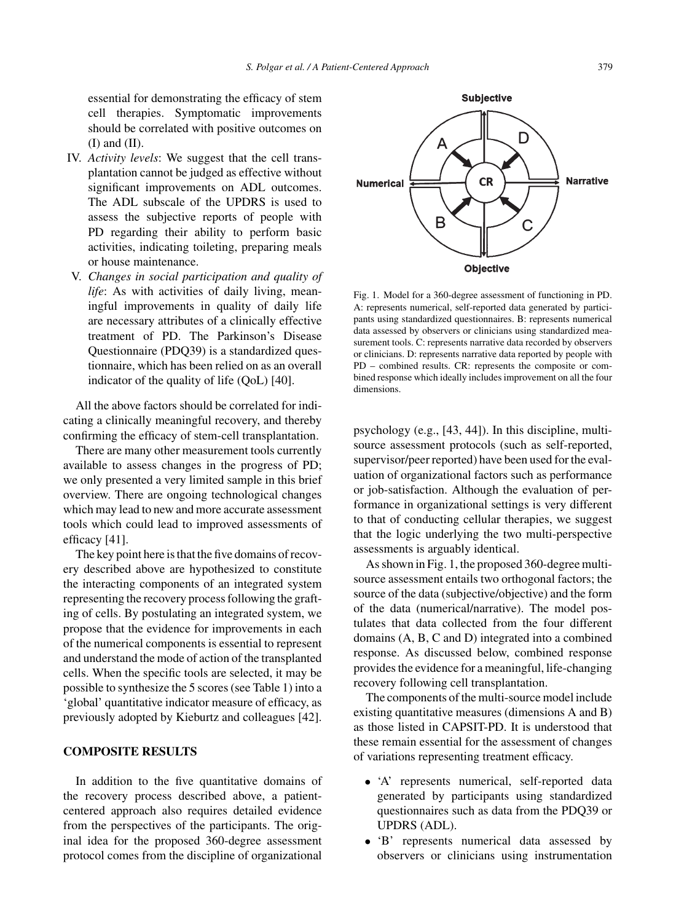essential for demonstrating the efficacy of stem cell therapies. Symptomatic improvements should be correlated with positive outcomes on  $(I)$  and  $(II)$ .

- IV. *Activity levels*: We suggest that the cell transplantation cannot be judged as effective without significant improvements on ADL outcomes. The ADL subscale of the UPDRS is used to assess the subjective reports of people with PD regarding their ability to perform basic activities, indicating toileting, preparing meals or house maintenance.
- V. *Changes in social participation and quality of life*: As with activities of daily living, meaningful improvements in quality of daily life are necessary attributes of a clinically effective treatment of PD. The Parkinson's Disease Questionnaire (PDQ39) is a standardized questionnaire, which has been relied on as an overall indicator of the quality of life (QoL) [40].

All the above factors should be correlated for indicating a clinically meaningful recovery, and thereby confirming the efficacy of stem-cell transplantation.

There are many other measurement tools currently available to assess changes in the progress of PD; we only presented a very limited sample in this brief overview. There are ongoing technological changes which may lead to new and more accurate assessment tools which could lead to improved assessments of efficacy [41].

The key point here is that the five domains of recovery described above are hypothesized to constitute the interacting components of an integrated system representing the recovery process following the grafting of cells. By postulating an integrated system, we propose that the evidence for improvements in each of the numerical components is essential to represent and understand the mode of action of the transplanted cells. When the specific tools are selected, it may be possible to synthesize the 5 scores (see Table 1) into a 'global' quantitative indicator measure of efficacy, as previously adopted by Kieburtz and colleagues [42].

# **COMPOSITE RESULTS**

In addition to the five quantitative domains of the recovery process described above, a patientcentered approach also requires detailed evidence from the perspectives of the participants. The original idea for the proposed 360-degree assessment protocol comes from the discipline of organizational



Fig. 1. Model for a 360-degree assessment of functioning in PD. A: represents numerical, self-reported data generated by participants using standardized questionnaires. B: represents numerical data assessed by observers or clinicians using standardized measurement tools. C: represents narrative data recorded by observers or clinicians. D: represents narrative data reported by people with PD – combined results. CR: represents the composite or combined response which ideally includes improvement on all the four dimensions.

psychology (e.g., [43, 44]). In this discipline, multisource assessment protocols (such as self-reported, supervisor/peer reported) have been used for the evaluation of organizational factors such as performance or job-satisfaction. Although the evaluation of performance in organizational settings is very different to that of conducting cellular therapies, we suggest that the logic underlying the two multi-perspective assessments is arguably identical.

As shown in Fig. 1, the proposed 360-degree multisource assessment entails two orthogonal factors; the source of the data (subjective/objective) and the form of the data (numerical/narrative). The model postulates that data collected from the four different domains (A, B, C and D) integrated into a combined response. As discussed below, combined response provides the evidence for a meaningful, life-changing recovery following cell transplantation.

The components of the multi-source model include existing quantitative measures (dimensions A and B) as those listed in CAPSIT-PD. It is understood that these remain essential for the assessment of changes of variations representing treatment efficacy.

- 'A' represents numerical, self-reported data generated by participants using standardized questionnaires such as data from the PDQ39 or UPDRS (ADL).
- 'B' represents numerical data assessed by observers or clinicians using instrumentation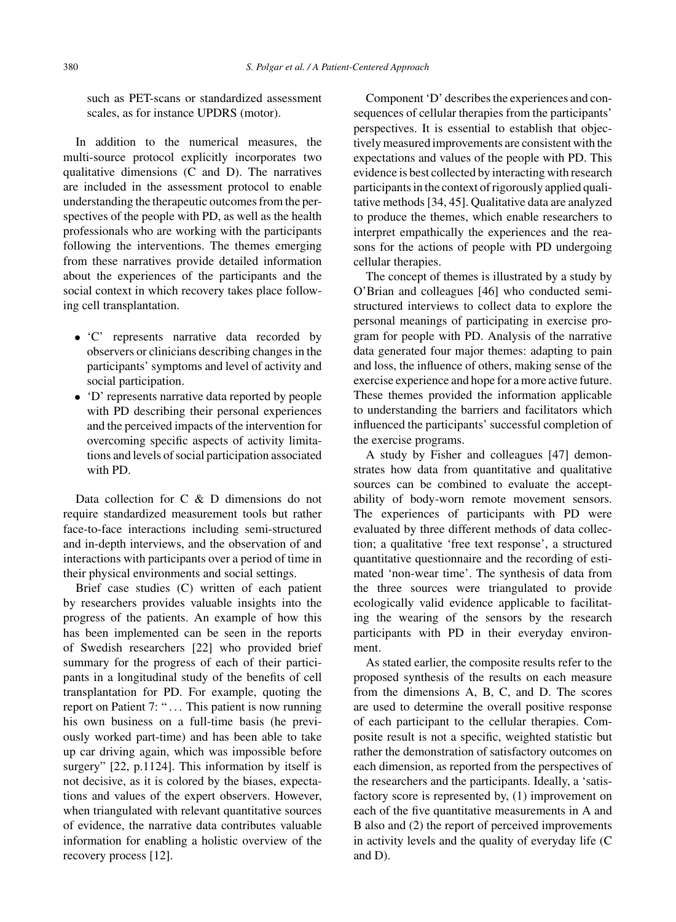such as PET-scans or standardized assessment scales, as for instance UPDRS (motor).

In addition to the numerical measures, the multi-source protocol explicitly incorporates two qualitative dimensions (C and D). The narratives are included in the assessment protocol to enable understanding the therapeutic outcomes from the perspectives of the people with PD, as well as the health professionals who are working with the participants following the interventions. The themes emerging from these narratives provide detailed information about the experiences of the participants and the social context in which recovery takes place following cell transplantation.

- 'C' represents narrative data recorded by observers or clinicians describing changes in the participants' symptoms and level of activity and social participation.
- 'D' represents narrative data reported by people with PD describing their personal experiences and the perceived impacts of the intervention for overcoming specific aspects of activity limitations and levels of social participation associated with PD.

Data collection for C & D dimensions do not require standardized measurement tools but rather face-to-face interactions including semi-structured and in-depth interviews, and the observation of and interactions with participants over a period of time in their physical environments and social settings.

Brief case studies (C) written of each patient by researchers provides valuable insights into the progress of the patients. An example of how this has been implemented can be seen in the reports of Swedish researchers [22] who provided brief summary for the progress of each of their participants in a longitudinal study of the benefits of cell transplantation for PD. For example, quoting the report on Patient 7: " . . . This patient is now running his own business on a full-time basis (he previously worked part-time) and has been able to take up car driving again, which was impossible before surgery" [22, p.1124]. This information by itself is not decisive, as it is colored by the biases, expectations and values of the expert observers. However, when triangulated with relevant quantitative sources of evidence, the narrative data contributes valuable information for enabling a holistic overview of the recovery process [12].

Component 'D' describes the experiences and consequences of cellular therapies from the participants' perspectives. It is essential to establish that objectively measured improvements are consistent with the expectations and values of the people with PD. This evidence is best collected by interacting with research participants in the context of rigorously applied qualitative methods [34, 45]. Qualitative data are analyzed to produce the themes, which enable researchers to interpret empathically the experiences and the reasons for the actions of people with PD undergoing cellular therapies.

The concept of themes is illustrated by a study by O'Brian and colleagues [46] who conducted semistructured interviews to collect data to explore the personal meanings of participating in exercise program for people with PD. Analysis of the narrative data generated four major themes: adapting to pain and loss, the influence of others, making sense of the exercise experience and hope for a more active future. These themes provided the information applicable to understanding the barriers and facilitators which influenced the participants' successful completion of the exercise programs.

A study by Fisher and colleagues [47] demonstrates how data from quantitative and qualitative sources can be combined to evaluate the acceptability of body-worn remote movement sensors. The experiences of participants with PD were evaluated by three different methods of data collection; a qualitative 'free text response', a structured quantitative questionnaire and the recording of estimated 'non-wear time'. The synthesis of data from the three sources were triangulated to provide ecologically valid evidence applicable to facilitating the wearing of the sensors by the research participants with PD in their everyday environment.

As stated earlier, the composite results refer to the proposed synthesis of the results on each measure from the dimensions A, B, C, and D. The scores are used to determine the overall positive response of each participant to the cellular therapies. Composite result is not a specific, weighted statistic but rather the demonstration of satisfactory outcomes on each dimension, as reported from the perspectives of the researchers and the participants. Ideally, a 'satisfactory score is represented by, (1) improvement on each of the five quantitative measurements in A and B also and (2) the report of perceived improvements in activity levels and the quality of everyday life (C and D).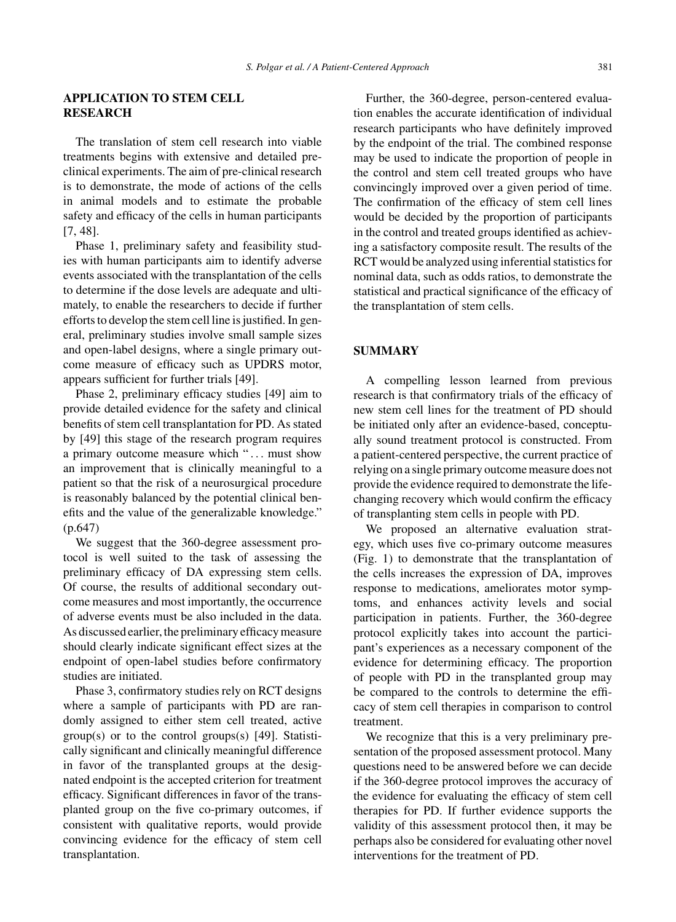# **APPLICATION TO STEM CELL RESEARCH**

The translation of stem cell research into viable treatments begins with extensive and detailed preclinical experiments. The aim of pre-clinical research is to demonstrate, the mode of actions of the cells in animal models and to estimate the probable safety and efficacy of the cells in human participants [7, 48].

Phase 1, preliminary safety and feasibility studies with human participants aim to identify adverse events associated with the transplantation of the cells to determine if the dose levels are adequate and ultimately, to enable the researchers to decide if further efforts to develop the stem cell line is justified. In general, preliminary studies involve small sample sizes and open-label designs, where a single primary outcome measure of efficacy such as UPDRS motor, appears sufficient for further trials [49].

Phase 2, preliminary efficacy studies [49] aim to provide detailed evidence for the safety and clinical benefits of stem cell transplantation for PD. As stated by [49] this stage of the research program requires a primary outcome measure which "... must show an improvement that is clinically meaningful to a patient so that the risk of a neurosurgical procedure is reasonably balanced by the potential clinical benefits and the value of the generalizable knowledge." (p.647)

We suggest that the 360-degree assessment protocol is well suited to the task of assessing the preliminary efficacy of DA expressing stem cells. Of course, the results of additional secondary outcome measures and most importantly, the occurrence of adverse events must be also included in the data. As discussed earlier, the preliminary efficacy measure should clearly indicate significant effect sizes at the endpoint of open-label studies before confirmatory studies are initiated.

Phase 3, confirmatory studies rely on RCT designs where a sample of participants with PD are randomly assigned to either stem cell treated, active  $group(s)$  or to the control groups $(s)$  [49]. Statistically significant and clinically meaningful difference in favor of the transplanted groups at the designated endpoint is the accepted criterion for treatment efficacy. Significant differences in favor of the transplanted group on the five co-primary outcomes, if consistent with qualitative reports, would provide convincing evidence for the efficacy of stem cell transplantation.

Further, the 360-degree, person-centered evaluation enables the accurate identification of individual research participants who have definitely improved by the endpoint of the trial. The combined response may be used to indicate the proportion of people in the control and stem cell treated groups who have convincingly improved over a given period of time. The confirmation of the efficacy of stem cell lines would be decided by the proportion of participants in the control and treated groups identified as achieving a satisfactory composite result. The results of the RCT would be analyzed using inferential statistics for nominal data, such as odds ratios, to demonstrate the statistical and practical significance of the efficacy of the transplantation of stem cells.

## **SUMMARY**

A compelling lesson learned from previous research is that confirmatory trials of the efficacy of new stem cell lines for the treatment of PD should be initiated only after an evidence-based, conceptually sound treatment protocol is constructed. From a patient-centered perspective, the current practice of relying on a single primary outcome measure does not provide the evidence required to demonstrate the lifechanging recovery which would confirm the efficacy of transplanting stem cells in people with PD.

We proposed an alternative evaluation strategy, which uses five co-primary outcome measures (Fig. 1) to demonstrate that the transplantation of the cells increases the expression of DA, improves response to medications, ameliorates motor symptoms, and enhances activity levels and social participation in patients. Further, the 360-degree protocol explicitly takes into account the participant's experiences as a necessary component of the evidence for determining efficacy. The proportion of people with PD in the transplanted group may be compared to the controls to determine the efficacy of stem cell therapies in comparison to control treatment.

We recognize that this is a very preliminary presentation of the proposed assessment protocol. Many questions need to be answered before we can decide if the 360-degree protocol improves the accuracy of the evidence for evaluating the efficacy of stem cell therapies for PD. If further evidence supports the validity of this assessment protocol then, it may be perhaps also be considered for evaluating other novel interventions for the treatment of PD.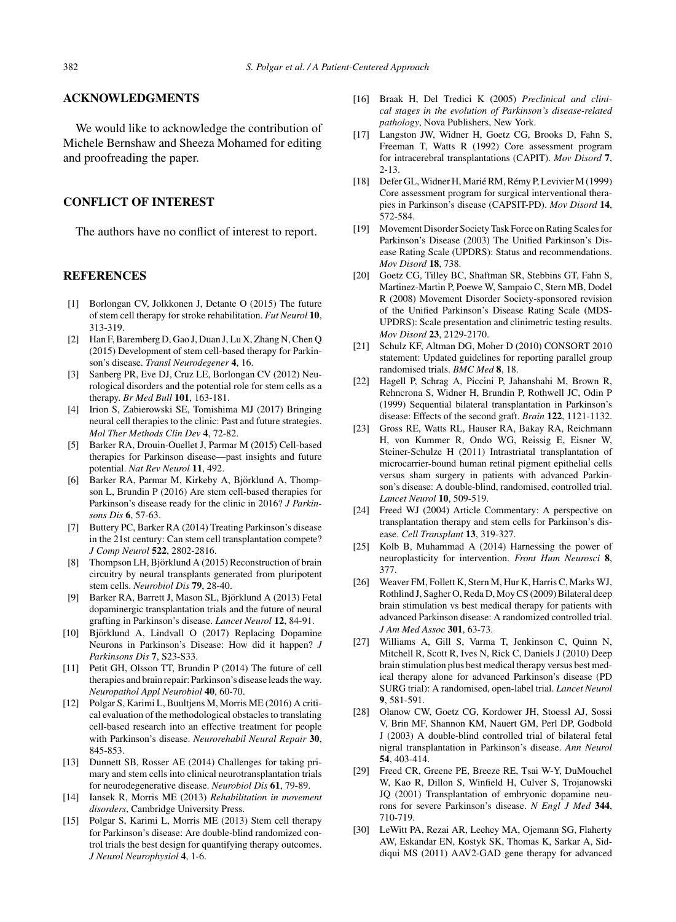#### **ACKNOWLEDGMENTS**

We would like to acknowledge the contribution of Michele Bernshaw and Sheeza Mohamed for editing and proofreading the paper.

#### **CONFLICT OF INTEREST**

The authors have no conflict of interest to report.

#### **REFERENCES**

- [1] Borlongan CV, Jolkkonen J, Detante O (2015) The future of stem cell therapy for stroke rehabilitation. *Fut Neurol* **10**, 313-319.
- [2] Han F, Baremberg D, Gao J, Duan J, Lu X, Zhang N, Chen Q (2015) Development of stem cell-based therapy for Parkinson's disease. *Transl Neurodegener* **4**, 16.
- [3] Sanberg PR, Eve DJ, Cruz LE, Borlongan CV (2012) Neurological disorders and the potential role for stem cells as a therapy. *Br Med Bull* **101**, 163-181.
- [4] Irion S, Zabierowski SE, Tomishima MJ (2017) Bringing neural cell therapies to the clinic: Past and future strategies. *Mol Ther Methods Clin Dev* **4**, 72-82.
- [5] Barker RA, Drouin-Ouellet J, Parmar M (2015) Cell-based therapies for Parkinson disease—past insights and future potential. *Nat Rev Neurol* **11**, 492.
- [6] Barker RA, Parmar M, Kirkeby A, Björklund A, Thompson L, Brundin P (2016) Are stem cell-based therapies for Parkinson's disease ready for the clinic in 2016? *J Parkinsons Dis* **6**, 57-63.
- [7] Buttery PC, Barker RA (2014) Treating Parkinson's disease in the 21st century: Can stem cell transplantation compete? *J Comp Neurol* **522**, 2802-2816.
- [8] Thompson LH, Björklund A (2015) Reconstruction of brain circuitry by neural transplants generated from pluripotent stem cells. *Neurobiol Dis* **79**, 28-40.
- [9] Barker RA, Barrett J, Mason SL, Björklund A (2013) Fetal dopaminergic transplantation trials and the future of neural grafting in Parkinson's disease. *Lancet Neurol* **12**, 84-91.
- [10] Björklund A, Lindvall O (2017) Replacing Dopamine Neurons in Parkinson's Disease: How did it happen? *J Parkinsons Dis* **7**, S23-S33.
- [11] Petit GH, Olsson TT, Brundin P (2014) The future of cell therapies and brain repair: Parkinson's disease leads the way. *Neuropathol Appl Neurobiol* **40**, 60-70.
- [12] Polgar S, Karimi L, Buultjens M, Morris ME (2016) A critical evaluation of the methodological obstacles to translating cell-based research into an effective treatment for people with Parkinson's disease. *Neurorehabil Neural Repair* **30**, 845-853.
- [13] Dunnett SB, Rosser AE (2014) Challenges for taking primary and stem cells into clinical neurotransplantation trials for neurodegenerative disease. *Neurobiol Dis* **61**, 79-89.
- [14] Iansek R, Morris ME (2013) *Rehabilitation in movement disorders*, Cambridge University Press.
- [15] Polgar S, Karimi L, Morris ME (2013) Stem cell therapy for Parkinson's disease: Are double-blind randomized control trials the best design for quantifying therapy outcomes. *J Neurol Neurophysiol* **4**, 1-6.
- [16] Braak H, Del Tredici K (2005) *Preclinical and clinical stages in the evolution of Parkinson's disease-related pathology*, Nova Publishers, New York.
- [17] Langston JW, Widner H, Goetz CG, Brooks D, Fahn S, Freeman T, Watts R (1992) Core assessment program for intracerebral transplantations (CAPIT). *Mov Disord* **7**, 2-13.
- [18] Defer GL, Widner H, Marié RM, Rémy P, Levivier M (1999) Core assessment program for surgical interventional therapies in Parkinson's disease (CAPSIT-PD). *Mov Disord* **14**, 572-584.
- [19] Movement Disorder Society Task Force on Rating Scales for Parkinson's Disease (2003) The Unified Parkinson's Disease Rating Scale (UPDRS): Status and recommendations. *Mov Disord* **18**, 738.
- [20] Goetz CG, Tilley BC, Shaftman SR, Stebbins GT, Fahn S, Martinez-Martin P, Poewe W, Sampaio C, Stern MB, Dodel R (2008) Movement Disorder Society-sponsored revision of the Unified Parkinson's Disease Rating Scale (MDS-UPDRS): Scale presentation and clinimetric testing results. *Mov Disord* **23**, 2129-2170.
- [21] Schulz KF, Altman DG, Moher D (2010) CONSORT 2010 statement: Updated guidelines for reporting parallel group randomised trials. *BMC Med* **8**, 18.
- [22] Hagell P, Schrag A, Piccini P, Jahanshahi M, Brown R, Rehncrona S, Widner H, Brundin P, Rothwell JC, Odin P (1999) Sequential bilateral transplantation in Parkinson's disease: Effects of the second graft. *Brain* **122**, 1121-1132.
- [23] Gross RE, Watts RL, Hauser RA, Bakay RA, Reichmann H, von Kummer R, Ondo WG, Reissig E, Eisner W, Steiner-Schulze H (2011) Intrastriatal transplantation of microcarrier-bound human retinal pigment epithelial cells versus sham surgery in patients with advanced Parkinson's disease: A double-blind, randomised, controlled trial. *Lancet Neurol* **10**, 509-519.
- [24] Freed WJ (2004) Article Commentary: A perspective on transplantation therapy and stem cells for Parkinson's disease. *Cell Transplant* **13**, 319-327.
- [25] Kolb B, Muhammad A (2014) Harnessing the power of neuroplasticity for intervention. *Front Hum Neurosci* **8**, 377.
- [26] Weaver FM, Follett K, Stern M, Hur K, Harris C, Marks WJ, Rothlind J, Sagher O, Reda D, Moy CS (2009) Bilateral deep brain stimulation vs best medical therapy for patients with advanced Parkinson disease: A randomized controlled trial. *J Am Med Assoc* **301**, 63-73.
- [27] Williams A, Gill S, Varma T, Jenkinson C, Quinn N, Mitchell R, Scott R, Ives N, Rick C, Daniels J (2010) Deep brain stimulation plus best medical therapy versus best medical therapy alone for advanced Parkinson's disease (PD SURG trial): A randomised, open-label trial. *Lancet Neurol* **9**, 581-591.
- [28] Olanow CW, Goetz CG, Kordower JH, Stoessl AJ, Sossi V, Brin MF, Shannon KM, Nauert GM, Perl DP, Godbold J (2003) A double-blind controlled trial of bilateral fetal nigral transplantation in Parkinson's disease. *Ann Neurol* **54**, 403-414.
- [29] Freed CR, Greene PE, Breeze RE, Tsai W-Y, DuMouchel W, Kao R, Dillon S, Winfield H, Culver S, Trojanowski JQ (2001) Transplantation of embryonic dopamine neurons for severe Parkinson's disease. *N Engl J Med* **344**, 710-719.
- [30] LeWitt PA, Rezai AR, Leehey MA, Ojemann SG, Flaherty AW, Eskandar EN, Kostyk SK, Thomas K, Sarkar A, Siddiqui MS (2011) AAV2-GAD gene therapy for advanced